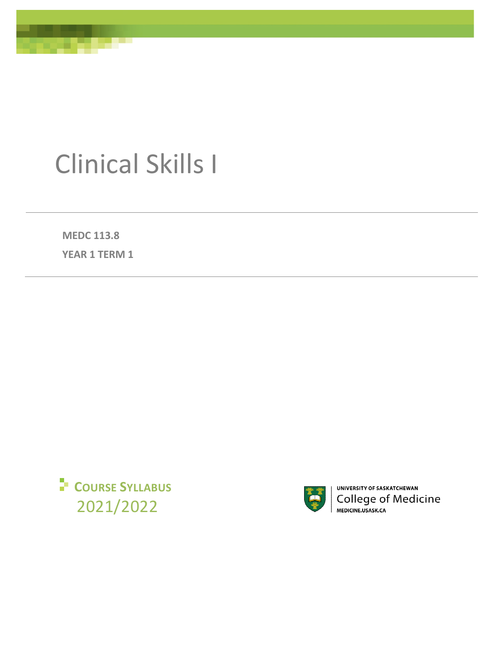

# Clinical Skills I

**MEDC 113.8** 

**YEAR 1 TERM 1**





UNIVERSITY OF SASKATCHEWAN College of Medicine<br>
MEDICINE.USASK.CA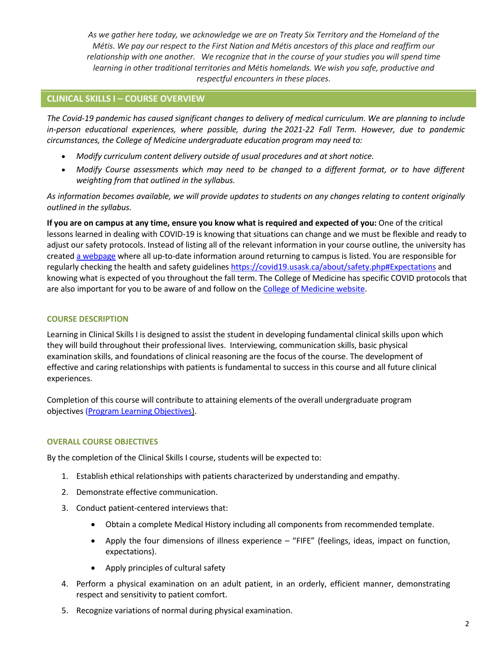*As we gather here today, we acknowledge we are on Treaty Six Territory and the Homeland of the Métis. We pay our respect to the First Nation and Métis ancestors of this place and reaffirm our relationship with one another. We recognize that in the course of your studies you will spend time learning in other traditional territories and Métis homelands. We wish you safe, productive and respectful encounters in these places.*

## **CLINICAL SKILLS I – COURSE OVERVIEW**

*The Covid-19 pandemic has caused significant changes to delivery of medical curriculum. We are planning to include in-person educational experiences, where possible, during the 2021-22 Fall Term. However, due to pandemic circumstances, the College of Medicine undergraduate education program may need to:* 

- *Modify curriculum content delivery outside of usual procedures and at short notice.*
- *Modify Course assessments which may need to be changed to a different format, or to have different weighting from that outlined in the syllabus.*

*As information becomes available, we will provide updates to students on any changes relating to content originally outlined in the syllabus.*

**If you are on campus at any time, ensure you know what is required and expected of you:** One of the critical lessons learned in dealing with COVID-19 is knowing that situations can change and we must be flexible and ready to adjust our safety protocols. Instead of listing all of the relevant information in your course outline, the university has created [a webpage](https://covid19.usask.ca/students.php#Oncampusessentials) where all up-to-date information around returning to campus is listed. You are responsible for regularly checking the health and safety guideline[s https://covid19.usask.ca/about/safety.php#Expectations](https://covid19.usask.ca/about/safety.php#Expectations) and knowing what is expected of you throughout the fall term. The College of Medicine has specific COVID protocols that are also important for you to be aware of and follow on the [College of Medicine website.](https://medicine.usask.ca/students/covid19.php)

## **COURSE DESCRIPTION**

Learning in Clinical Skills I is designed to assist the student in developing fundamental clinical skills upon which they will build throughout their professional lives. Interviewing, communication skills, basic physical examination skills, and foundations of clinical reasoning are the focus of the course. The development of effective and caring relationships with patients is fundamental to success in this course and all future clinical experiences.

Completion of this course will contribute to attaining elements of the overall undergraduate program objectives [\(Program Learning Objectives\).](https://medicine.usask.ca/students/undergraduate/curriculum-schedules-objectives.php#ProgramLearningObjectives)

## **OVERALL COURSE OBJECTIVES**

By the completion of the Clinical Skills I course, students will be expected to:

- 1. Establish ethical relationships with patients characterized by understanding and empathy.
- 2. Demonstrate effective communication.
- 3. Conduct patient-centered interviews that:
	- Obtain a complete Medical History including all components from recommended template.
	- Apply the four dimensions of illness experience "FIFE" (feelings, ideas, impact on function, expectations).
	- Apply principles of cultural safety
- 4. Perform a physical examination on an adult patient, in an orderly, efficient manner, demonstrating respect and sensitivity to patient comfort.
- 5. Recognize variations of normal during physical examination.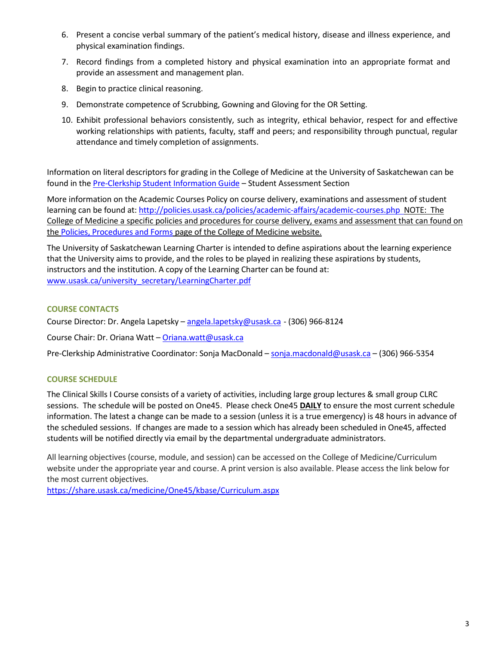- 6. Present a concise verbal summary of the patient's medical history, disease and illness experience, and physical examination findings.
- 7. Record findings from a completed history and physical examination into an appropriate format and provide an assessment and management plan.
- 8. Begin to practice clinical reasoning.
- 9. Demonstrate competence of Scrubbing, Gowning and Gloving for the OR Setting.
- 10. Exhibit professional behaviors consistently, such as integrity, ethical behavior, respect for and effective working relationships with patients, faculty, staff and peers; and responsibility through punctual, regular attendance and timely completion of assignments.

Information on literal descriptors for grading in the College of Medicine at the University of Saskatchewan can be found in the [Pre-Clerkship Student Information Guide](https://medicine.usask.ca/documents/ugme/syllabi/student-guide-to-pre-clerkship.pdf) – Student Assessment Section

More information on the Academic Courses Policy on course delivery, examinations and assessment of student learning can be found at[: http://policies.usask.ca/policies/academic-affairs/academic-courses.php](http://policies.usask.ca/policies/academic-affairs/academic-courses.php) NOTE: The College of Medicine a specific policies and procedures for course delivery, exams and assessment that can found on the [Policies, Procedures and Forms](https://medicine.usask.ca/students/undergraduate/policies.php) page of the College of Medicine website.

The University of Saskatchewan Learning Charter is intended to define aspirations about the learning experience that the University aims to provide, and the roles to be played in realizing these aspirations by students, instructors and the institution. A copy of the Learning Charter can be found at: [www.usask.ca/university\\_secretary/LearningCharter.pdf](http://www.usask.ca/university_secretary/LearningCharter.pdf)

## **COURSE CONTACTS**

Course Director: Dr. Angela Lapetsky [– angela.lapetsky@usask.ca](mailto:angela.lapetsky@usask.ca) - (306) 966-8124

Course Chair: Dr. Oriana Watt [– Oriana.watt@usask.ca](mailto:Oriana.watt@usask.ca) 

Pre-Clerkship Administrative Coordinator: Sonja MacDonald [– sonja.macdonald@usask.ca](mailto:sonja.macdonald@usask.ca) – (306) 966-5354

## **COURSE SCHEDULE**

The Clinical Skills I Course consists of a variety of activities, including large group lectures & small group CLRC sessions. The schedule will be posted on One45. Please check One45 **DAILY** to ensure the most current schedule information. The latest a change can be made to a session (unless it is a true emergency) is 48 hours in advance of the scheduled sessions. If changes are made to a session which has already been scheduled in One45, affected students will be notified directly via email by the departmental undergraduate administrators.

All learning objectives (course, module, and session) can be accessed on the College of Medicine/Curriculum website under the appropriate year and course. A print version is also available. Please access the link below for the most current objectives.

[https://share.usask.ca/medicine/One45/kbase/Curriculum.aspx](https://share.usask.ca/medicine/one45/kbase/Curriculum.aspx)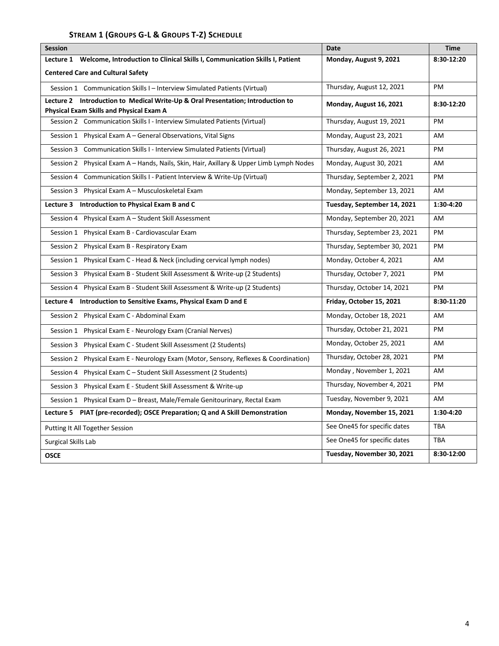# **STREAM 1 (GROUPS G-L & GROUPS T-Z) SCHEDULE**

| <b>Session</b>                                                                           | Date                         | <b>Time</b> |
|------------------------------------------------------------------------------------------|------------------------------|-------------|
| Welcome, Introduction to Clinical Skills I, Communication Skills I, Patient<br>Lecture 1 | Monday, August 9, 2021       | 8:30-12:20  |
| <b>Centered Care and Cultural Safety</b>                                                 |                              |             |
| Session 1 Communication Skills I - Interview Simulated Patients (Virtual)                | Thursday, August 12, 2021    | PM          |
| Introduction to Medical Write-Up & Oral Presentation; Introduction to<br>Lecture 2       | Monday, August 16, 2021      | 8:30-12:20  |
| <b>Physical Exam Skills and Physical Exam A</b>                                          |                              |             |
| Session 2 Communication Skills I - Interview Simulated Patients (Virtual)                | Thursday, August 19, 2021    | PM          |
| Session 1 Physical Exam A - General Observations, Vital Signs                            | Monday, August 23, 2021      | <b>AM</b>   |
| Session 3 Communication Skills I - Interview Simulated Patients (Virtual)                | Thursday, August 26, 2021    | PM          |
| Session 2 Physical Exam A - Hands, Nails, Skin, Hair, Axillary & Upper Limb Lymph Nodes  | Monday, August 30, 2021      | AM          |
| Session 4 Communication Skills I - Patient Interview & Write-Up (Virtual)                | Thursday, September 2, 2021  | PM          |
| Session 3 Physical Exam A - Musculoskeletal Exam                                         | Monday, September 13, 2021   | AM          |
| Introduction to Physical Exam B and C<br>Lecture 3                                       | Tuesday, September 14, 2021  | 1:30-4:20   |
| Session 4 Physical Exam A - Student Skill Assessment                                     | Monday, September 20, 2021   | AM          |
| Session 1 Physical Exam B - Cardiovascular Exam                                          | Thursday, September 23, 2021 | PM          |
| Session 2 Physical Exam B - Respiratory Exam                                             | Thursday, September 30, 2021 | PM          |
| Session 1 Physical Exam C - Head & Neck (including cervical lymph nodes)                 | Monday, October 4, 2021      | AM          |
| Session 3 Physical Exam B - Student Skill Assessment & Write-up (2 Students)             | Thursday, October 7, 2021    | PM          |
| Session 4 Physical Exam B - Student Skill Assessment & Write-up (2 Students)             | Thursday, October 14, 2021   | PM          |
| Introduction to Sensitive Exams, Physical Exam D and E<br>Lecture 4                      | Friday, October 15, 2021     | 8:30-11:20  |
| Session 2 Physical Exam C - Abdominal Exam                                               | Monday, October 18, 2021     | AM          |
| Session 1 Physical Exam E - Neurology Exam (Cranial Nerves)                              | Thursday, October 21, 2021   | PM          |
| Session 3 Physical Exam C - Student Skill Assessment (2 Students)                        | Monday, October 25, 2021     | AM          |
| Session 2 Physical Exam E - Neurology Exam (Motor, Sensory, Reflexes & Coordination)     | Thursday, October 28, 2021   | PM          |
| Session 4 Physical Exam C – Student Skill Assessment (2 Students)                        | Monday, November 1, 2021     | <b>AM</b>   |
| Session 3 Physical Exam E - Student Skill Assessment & Write-up                          | Thursday, November 4, 2021   | PM          |
| Session 1 Physical Exam D - Breast, Male/Female Genitourinary, Rectal Exam               | Tuesday, November 9, 2021    | AM          |
| PIAT (pre-recorded); OSCE Preparation; Q and A Skill Demonstration<br>Lecture 5          | Monday, November 15, 2021    | 1:30-4:20   |
| Putting It All Together Session                                                          | See One45 for specific dates | <b>TBA</b>  |
| Surgical Skills Lab                                                                      | See One45 for specific dates | <b>TBA</b>  |
| <b>OSCE</b>                                                                              | Tuesday, November 30, 2021   | 8:30-12:00  |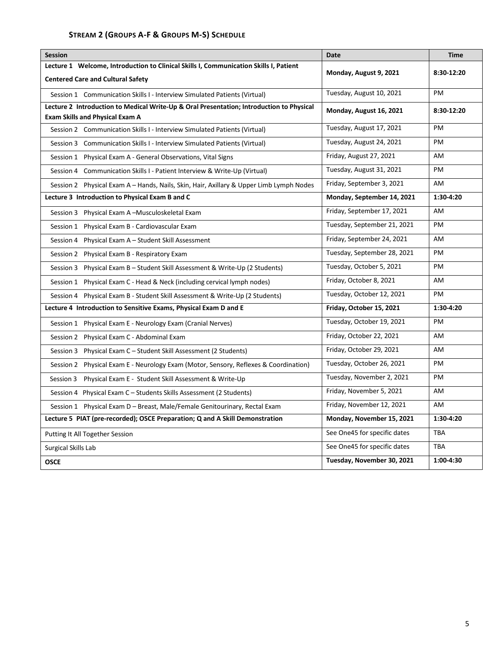# **STREAM 2 (GROUPS A-F & GROUPS M-S) SCHEDULE**

| <b>Session</b>                                                                           | Date                         | <b>Time</b> |
|------------------------------------------------------------------------------------------|------------------------------|-------------|
| Lecture 1 Welcome, Introduction to Clinical Skills I, Communication Skills I, Patient    | Monday, August 9, 2021       | 8:30-12:20  |
| <b>Centered Care and Cultural Safety</b>                                                 |                              |             |
| Session 1 Communication Skills I - Interview Simulated Patients (Virtual)                | Tuesday, August 10, 2021     | PM          |
| Lecture 2 Introduction to Medical Write-Up & Oral Presentation; Introduction to Physical | Monday, August 16, 2021      | 8:30-12:20  |
| <b>Exam Skills and Physical Exam A</b>                                                   |                              |             |
| Session 2 Communication Skills I - Interview Simulated Patients (Virtual)                | Tuesday, August 17, 2021     | <b>PM</b>   |
| Session 3 Communication Skills I - Interview Simulated Patients (Virtual)                | Tuesday, August 24, 2021     | PM          |
| Session 1 Physical Exam A - General Observations, Vital Signs                            | Friday, August 27, 2021      | AM          |
| Session 4 Communication Skills I - Patient Interview & Write-Up (Virtual)                | Tuesday, August 31, 2021     | PM          |
| Session 2 Physical Exam A – Hands, Nails, Skin, Hair, Axillary & Upper Limb Lymph Nodes  | Friday, September 3, 2021    | AM          |
| Lecture 3 Introduction to Physical Exam B and C                                          | Monday, September 14, 2021   | 1:30-4:20   |
| Session 3 Physical Exam A-Musculoskeletal Exam                                           | Friday, September 17, 2021   | AM          |
| Session 1 Physical Exam B - Cardiovascular Exam                                          | Tuesday, September 21, 2021  | PM          |
| Session 4 Physical Exam A - Student Skill Assessment                                     | Friday, September 24, 2021   | AM          |
| Session 2 Physical Exam B - Respiratory Exam                                             | Tuesday, September 28, 2021  | PM          |
| Session 3 Physical Exam B - Student Skill Assessment & Write-Up (2 Students)             | Tuesday, October 5, 2021     | PM          |
| Session 1 Physical Exam C - Head & Neck (including cervical lymph nodes)                 | Friday, October 8, 2021      | AM          |
| Session 4 Physical Exam B - Student Skill Assessment & Write-Up (2 Students)             | Tuesday, October 12, 2021    | PM          |
| Lecture 4 Introduction to Sensitive Exams, Physical Exam D and E                         | Friday, October 15, 2021     | 1:30-4:20   |
| Session 1 Physical Exam E - Neurology Exam (Cranial Nerves)                              | Tuesday, October 19, 2021    | PM          |
| Session 2 Physical Exam C - Abdominal Exam                                               | Friday, October 22, 2021     | AM          |
| Session 3 Physical Exam C – Student Skill Assessment (2 Students)                        | Friday, October 29, 2021     | AM          |
| Session 2 Physical Exam E - Neurology Exam (Motor, Sensory, Reflexes & Coordination)     | Tuesday, October 26, 2021    | PM          |
| Physical Exam E - Student Skill Assessment & Write-Up<br>Session 3                       | Tuesday, November 2, 2021    | PM          |
| Session 4 Physical Exam C - Students Skills Assessment (2 Students)                      | Friday, November 5, 2021     | AM          |
| Session 1 Physical Exam D - Breast, Male/Female Genitourinary, Rectal Exam               | Friday, November 12, 2021    | AM.         |
| Lecture 5 PIAT (pre-recorded); OSCE Preparation; Q and A Skill Demonstration             | Monday, November 15, 2021    | 1:30-4:20   |
| Putting It All Together Session                                                          | See One45 for specific dates | <b>TBA</b>  |
| Surgical Skills Lab                                                                      | See One45 for specific dates | <b>TBA</b>  |
| <b>OSCE</b>                                                                              | Tuesday, November 30, 2021   | 1:00-4:30   |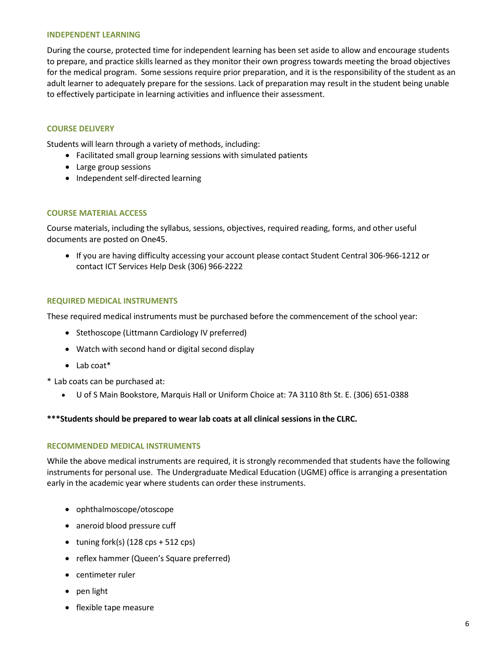#### **INDEPENDENT LEARNING**

During the course, protected time for independent learning has been set aside to allow and encourage students to prepare, and practice skills learned as they monitor their own progress towards meeting the broad objectives for the medical program. Some sessions require prior preparation, and it is the responsibility of the student as an adult learner to adequately prepare for the sessions. Lack of preparation may result in the student being unable to effectively participate in learning activities and influence their assessment.

#### **COURSE DELIVERY**

Students will learn through a variety of methods, including:

- Facilitated small group learning sessions with simulated patients
- Large group sessions
- Independent self-directed learning

#### **COURSE MATERIAL ACCESS**

Course materials, including the syllabus, sessions, objectives, required reading, forms, and other useful documents are posted on One45.

 If you are having difficulty accessing your account please contact Student Central 306-966-1212 or contact ICT Services Help Desk (306) 966-2222

#### **REQUIRED MEDICAL INSTRUMENTS**

These required medical instruments must be purchased before the commencement of the school year:

- Stethoscope (Littmann Cardiology IV preferred)
- Watch with second hand or digital second display
- Lab coat\*

\* Lab coats can be purchased at:

U of S Main Bookstore, Marquis Hall or Uniform Choice at: 7A 3110 8th St. E. (306) 651-0388

#### **\*\*\*Students should be prepared to wear lab coats at all clinical sessions in the CLRC.**

#### **RECOMMENDED MEDICAL INSTRUMENTS**

While the above medical instruments are required, it is strongly recommended that students have the following instruments for personal use. The Undergraduate Medical Education (UGME) office is arranging a presentation early in the academic year where students can order these instruments.

- ophthalmoscope/otoscope
- aneroid blood pressure cuff
- $\bullet$  tuning fork(s) (128 cps + 512 cps)
- reflex hammer (Queen's Square preferred)
- centimeter ruler
- pen light
- flexible tape measure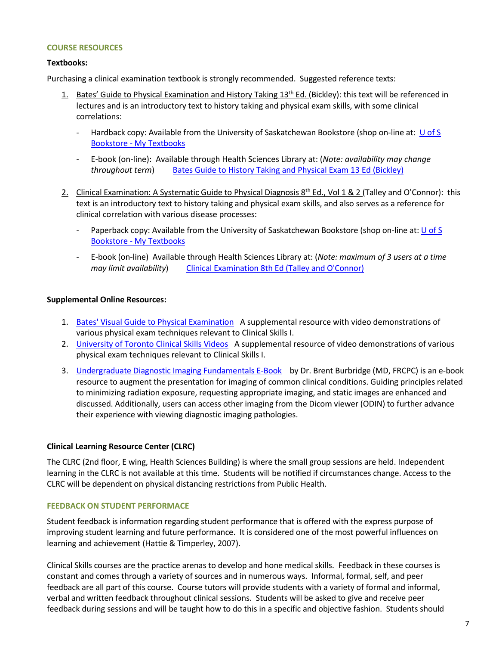#### **COURSE RESOURCES**

## **Textbooks:**

Purchasing a clinical examination textbook is strongly recommended. Suggested reference texts:

- 1. Bates' Guide to Physical Examination and History Taking 13<sup>th</sup> Ed. (Bickley): this text will be referenced in lectures and is an introductory text to history taking and physical exam skills, with some clinical correlations:
	- Hardback copy: Available from the University of Saskatchewan Bookstore (shop on-line at: U of S [Bookstore - My Textbooks](https://bookstore.usask.ca/students.php#MyTextbooks)
	- E-book (on-line): Available through Health Sciences Library at: (*Note: availability may change throughout term*) [Bates Guide to History Taking and Physical Exam 13 Ed \(Bickley\)](http://library.usask.ca/scripts/remote?URL=https://meded.lwwhealthlibrary.com/book.aspx?bookid=2964)
- 2. Clinical Examination: A Systematic Guide to Physical Diagnosis 8<sup>th</sup> Ed., Vol 1 & 2 (Talley and O'Connor): this text is an introductory text to history taking and physical exam skills, and also serves as a reference for clinical correlation with various disease processes:
	- Paperback copy: Available from the University of Saskatchewan Bookstore (shop on-line at: U of S [Bookstore - My Textbooks](https://bookstore.usask.ca/students.php#MyTextbooks)
	- E-book (on-line) Available through Health Sciences Library at: (*Note: maximum of 3 users at a time may limit availability*) [Clinical Examination 8th Ed \(Talley and O'Connor\)](http://library.usask.ca/scripts/remote?URL=https://sundog.usask.ca/record=b5501797~S8)

## **Supplemental Online Resources:**

- 1. [Bates' Visual Guide to Physical Examination](https://batesvisualguide.com/) A supplemental resource with video demonstrations of various physical exam techniques relevant to Clinical Skills I.
- 2. [University of Toronto Clinical Skills Videos](http://thehub.utoronto.ca/clinicalskills/) A supplemental resource of video demonstrations of various physical exam techniques relevant to Clinical Skills I.
- 3. [Undergraduate Diagnostic Imaging Fundamentals E-Book](https://openpress.usask.ca/undergradimaging/) by Dr. Brent Burbridge (MD, FRCPC) is an e-book resource to augment the presentation for imaging of common clinical conditions. Guiding principles related to minimizing radiation exposure, requesting appropriate imaging, and static images are enhanced and discussed. Additionally, users can access other imaging from the Dicom viewer (ODIN) to further advance their experience with viewing diagnostic imaging pathologies.

## **Clinical Learning Resource Center (CLRC)**

The CLRC (2nd floor, E wing, Health Sciences Building) is where the small group sessions are held. Independent learning in the CLRC is not available at this time. Students will be notified if circumstances change. Access to the CLRC will be dependent on physical distancing restrictions from Public Health.

## **FEEDBACK ON STUDENT PERFORMACE**

Student feedback is information regarding student performance that is offered with the express purpose of improving student learning and future performance. It is considered one of the most powerful influences on learning and achievement (Hattie & Timperley, 2007).

Clinical Skills courses are the practice arenas to develop and hone medical skills. Feedback in these courses is constant and comes through a variety of sources and in numerous ways. Informal, formal, self, and peer feedback are all part of this course. Course tutors will provide students with a variety of formal and informal, verbal and written feedback throughout clinical sessions. Students will be asked to give and receive peer feedback during sessions and will be taught how to do this in a specific and objective fashion. Students should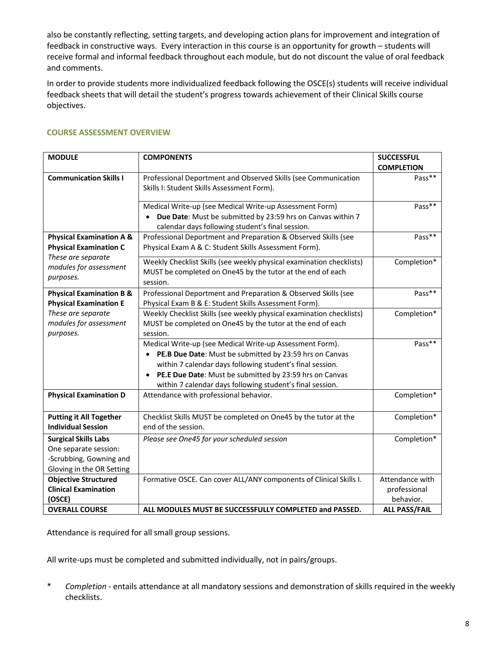also be constantly reflecting, setting targets, and developing action plans for improvement and integration of feedback in constructive ways. Every interaction in this course is an opportunity for growth – students will receive formal and informal feedback throughout each module, but do not discount the value of oral feedback and comments.

In order to provide students more individualized feedback following the OSCE(s) students will receive individual feedback sheets that will detail the student's progress towards achievement of their Clinical Skills course objectives.

| <b>MODULE</b>                                       | <b>COMPONENTS</b>                                                                                               | <b>SUCCESSFUL</b><br><b>COMPLETION</b> |
|-----------------------------------------------------|-----------------------------------------------------------------------------------------------------------------|----------------------------------------|
| <b>Communication Skills I</b>                       | Professional Deportment and Observed Skills (see Communication                                                  | Pass**                                 |
|                                                     | Skills I: Student Skills Assessment Form).                                                                      |                                        |
|                                                     | Medical Write-up (see Medical Write-up Assessment Form)                                                         | Pass**                                 |
|                                                     | Due Date: Must be submitted by 23:59 hrs on Canvas within 7<br>calendar days following student's final session. |                                        |
| <b>Physical Examination A &amp;</b>                 | Professional Deportment and Preparation & Observed Skills (see                                                  | Pass**                                 |
| <b>Physical Examination C</b><br>These are separate | Physical Exam A & C: Student Skills Assessment Form).                                                           |                                        |
| modules for assessment                              | Weekly Checklist Skills (see weekly physical examination checklists)                                            | Completion*                            |
| purposes.                                           | MUST be completed on One45 by the tutor at the end of each<br>session.                                          |                                        |
| <b>Physical Examination B &amp;</b>                 | Professional Deportment and Preparation & Observed Skills (see                                                  | Pass**                                 |
| <b>Physical Examination E</b>                       | Physical Exam B & E: Student Skills Assessment Form).                                                           |                                        |
| These are separate                                  | Weekly Checklist Skills (see weekly physical examination checklists)                                            | Completion*                            |
| modules for assessment                              | MUST be completed on One45 by the tutor at the end of each                                                      |                                        |
| purposes.                                           | session.                                                                                                        |                                        |
|                                                     | Medical Write-up (see Medical Write-up Assessment Form).                                                        | Pass**                                 |
|                                                     | PE.B Due Date: Must be submitted by 23:59 hrs on Canvas                                                         |                                        |
|                                                     | within 7 calendar days following student's final session.                                                       |                                        |
|                                                     | PE.E Due Date: Must be submitted by 23:59 hrs on Canvas<br>$\bullet$                                            |                                        |
|                                                     | within 7 calendar days following student's final session.                                                       |                                        |
| <b>Physical Examination D</b>                       | Attendance with professional behavior.                                                                          | Completion*                            |
| <b>Putting it All Together</b>                      | Checklist Skills MUST be completed on One45 by the tutor at the                                                 | Completion*                            |
| <b>Individual Session</b>                           | end of the session.                                                                                             |                                        |
| <b>Surgical Skills Labs</b>                         | Please see One45 for your scheduled session                                                                     | Completion*                            |
| One separate session:                               |                                                                                                                 |                                        |
| -Scrubbing, Gowning and                             |                                                                                                                 |                                        |
| Gloving in the OR Setting                           |                                                                                                                 |                                        |
| <b>Objective Structured</b>                         | Formative OSCE. Can cover ALL/ANY components of Clinical Skills I.                                              | Attendance with                        |
| <b>Clinical Examination</b>                         |                                                                                                                 | professional                           |
| (OSCE)                                              |                                                                                                                 | behavior.                              |
| <b>OVERALL COURSE</b>                               | ALL MODULES MUST BE SUCCESSFULLY COMPLETED and PASSED.                                                          | <b>ALL PASS/FAIL</b>                   |

## **COURSE ASSESSMENT OVERVIEW**

Attendance is required for all small group sessions.

All write-ups must be completed and submitted individually, not in pairs/groups.

\* *Completion -* entails attendance at all mandatory sessions and demonstration of skills required in the weekly checklists.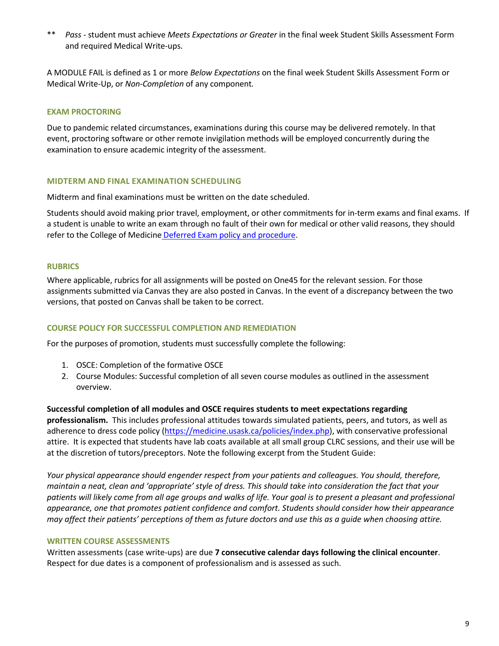\*\* *Pass -* student must achieve *Meets Expectations or Greater* in the final week Student Skills Assessment Form and required Medical Write-ups.

A MODULE FAIL is defined as 1 or more *Below Expectations* on the final week Student Skills Assessment Form or Medical Write-Up, or *Non-Completion* of any component*.* 

## **EXAM PROCTORING**

Due to pandemic related circumstances, examinations during this course may be delivered remotely. In that event, proctoring software or other remote invigilation methods will be employed concurrently during the examination to ensure academic integrity of the assessment.

#### **MIDTERM AND FINAL EXAMINATION SCHEDULING**

Midterm and final examinations must be written on the date scheduled.

Students should avoid making prior travel, employment, or other commitments for in-term exams and final exams. If a student is unable to write an exam through no fault of their own for medical or other valid reasons, they should refer to the College of Medicine [Deferred Exam policy and procedure.](https://medicine.usask.ca/policies/deferred-exams.php)

#### **RUBRICS**

Where applicable, rubrics for all assignments will be posted on One45 for the relevant session. For those assignments submitted via Canvas they are also posted in Canvas. In the event of a discrepancy between the two versions, that posted on Canvas shall be taken to be correct.

#### **COURSE POLICY FOR SUCCESSFUL COMPLETION AND REMEDIATION**

For the purposes of promotion, students must successfully complete the following:

- 1. OSCE: Completion of the formative OSCE
- 2. Course Modules: Successful completion of all seven course modules as outlined in the assessment overview.

**Successful completion of all modules and OSCE requires students to meet expectations regarding professionalism.** This includes professional attitudes towards simulated patients, peers, and tutors, as well as adherence to dress code policy [\(https://medicine.usask.ca/policies/index.php\)](https://medicine.usask.ca/policies/index.php), with conservative professional attire. It is expected that students have lab coats available at all small group CLRC sessions, and their use will be at the discretion of tutors/preceptors. Note the following excerpt from the Student Guide:

*Your physical appearance should engender respect from your patients and colleagues. You should, therefore, maintain a neat, clean and 'appropriate' style of dress. This should take into consideration the fact that your*  patients will likely come from all age groups and walks of life. Your goal is to present a pleasant and professional *appearance, one that promotes patient confidence and comfort. Students should consider how their appearance may affect their patients' perceptions of them as future doctors and use this as a guide when choosing attire.* 

#### **WRITTEN COURSE ASSESSMENTS**

Written assessments (case write-ups) are due **7 consecutive calendar days following the clinical encounter**. Respect for due dates is a component of professionalism and is assessed as such.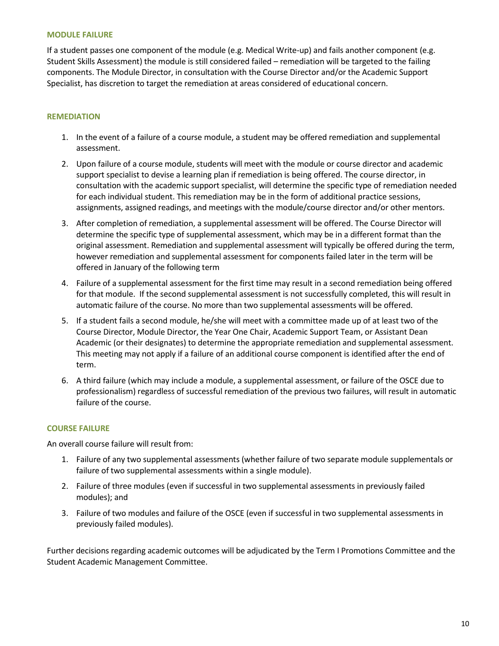#### **MODULE FAILURE**

If a student passes one component of the module (e.g. Medical Write-up) and fails another component (e.g. Student Skills Assessment) the module is still considered failed – remediation will be targeted to the failing components. The Module Director, in consultation with the Course Director and/or the Academic Support Specialist, has discretion to target the remediation at areas considered of educational concern.

## **REMEDIATION**

- 1. In the event of a failure of a course module, a student may be offered remediation and supplemental assessment.
- 2. Upon failure of a course module, students will meet with the module or course director and academic support specialist to devise a learning plan if remediation is being offered. The course director, in consultation with the academic support specialist, will determine the specific type of remediation needed for each individual student. This remediation may be in the form of additional practice sessions, assignments, assigned readings, and meetings with the module/course director and/or other mentors.
- 3. After completion of remediation, a supplemental assessment will be offered. The Course Director will determine the specific type of supplemental assessment, which may be in a different format than the original assessment. Remediation and supplemental assessment will typically be offered during the term, however remediation and supplemental assessment for components failed later in the term will be offered in January of the following term
- 4. Failure of a supplemental assessment for the first time may result in a second remediation being offered for that module. If the second supplemental assessment is not successfully completed, this will result in automatic failure of the course. No more than two supplemental assessments will be offered.
- 5. If a student fails a second module, he/she will meet with a committee made up of at least two of the Course Director, Module Director, the Year One Chair, Academic Support Team, or Assistant Dean Academic (or their designates) to determine the appropriate remediation and supplemental assessment. This meeting may not apply if a failure of an additional course component is identified after the end of term.
- 6. A third failure (which may include a module, a supplemental assessment, or failure of the OSCE due to professionalism) regardless of successful remediation of the previous two failures, will result in automatic failure of the course.

#### **COURSE FAILURE**

An overall course failure will result from:

- 1. Failure of any two supplemental assessments (whether failure of two separate module supplementals or failure of two supplemental assessments within a single module).
- 2. Failure of three modules (even if successful in two supplemental assessments in previously failed modules); and
- 3. Failure of two modules and failure of the OSCE (even if successful in two supplemental assessments in previously failed modules).

Further decisions regarding academic outcomes will be adjudicated by the Term I Promotions Committee and the Student Academic Management Committee.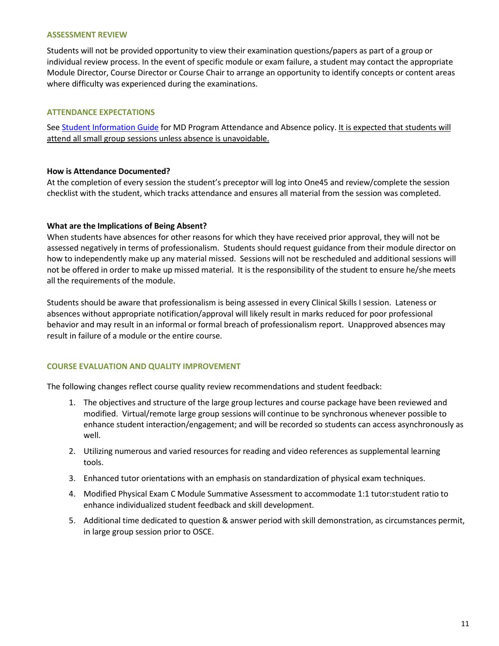#### **ASSESSMENT REVIEW**

Students will not be provided opportunity to view their examination questions/papers as part of a group or individual review process. In the event of specific module or exam failure, a student may contact the appropriate Module Director, Course Director or Course Chair to arrange an opportunity to identify concepts or content areas where difficulty was experienced during the examinations.

## **ATTENDANCE EXPECTATIONS**

See [Student Information Guide](http://medicine.usask.ca/students/undergraduate/curriculum-schedules-objectives.php#Aboriginalhealthinthecurriculum) for MD Program Attendance and Absence policy. It is expected that students will attend all small group sessions unless absence is unavoidable.

## **How is Attendance Documented?**

At the completion of every session the student's preceptor will log into One45 and review/complete the session checklist with the student, which tracks attendance and ensures all material from the session was completed.

## **What are the Implications of Being Absent?**

When students have absences for other reasons for which they have received prior approval, they will not be assessed negatively in terms of professionalism. Students should request guidance from their module director on how to independently make up any material missed. Sessions will not be rescheduled and additional sessions will not be offered in order to make up missed material. It is the responsibility of the student to ensure he/she meets all the requirements of the module.

Students should be aware that professionalism is being assessed in every Clinical Skills I session. Lateness or absences without appropriate notification/approval will likely result in marks reduced for poor professional behavior and may result in an informal or formal breach of professionalism report. Unapproved absences may result in failure of a module or the entire course.

## **COURSE EVALUATION AND QUALITY IMPROVEMENT**

The following changes reflect course quality review recommendations and student feedback:

- 1. The objectives and structure of the large group lectures and course package have been reviewed and modified. Virtual/remote large group sessions will continue to be synchronous whenever possible to enhance student interaction/engagement; and will be recorded so students can access asynchronously as well.
- 2. Utilizing numerous and varied resources for reading and video references as supplemental learning tools.
- 3. Enhanced tutor orientations with an emphasis on standardization of physical exam techniques.
- 4. Modified Physical Exam C Module Summative Assessment to accommodate 1:1 tutor:student ratio to enhance individualized student feedback and skill development.
- 5. Additional time dedicated to question & answer period with skill demonstration, as circumstances permit, in large group session prior to OSCE.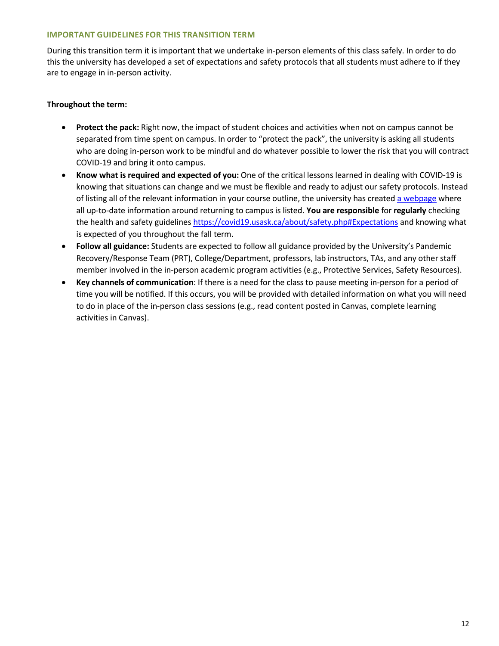## **IMPORTANT GUIDELINES FOR THIS TRANSITION TERM**

During this transition term it is important that we undertake in-person elements of this class safely. In order to do this the university has developed a set of expectations and safety protocols that all students must adhere to if they are to engage in in-person activity.

## **Throughout the term:**

- **Protect the pack:** Right now, the impact of student choices and activities when not on campus cannot be separated from time spent on campus. In order to "protect the pack", the university is asking all students who are doing in-person work to be mindful and do whatever possible to lower the risk that you will contract COVID-19 and bring it onto campus.
- **Know what is required and expected of you:** One of the critical lessons learned in dealing with COVID-19 is knowing that situations can change and we must be flexible and ready to adjust our safety protocols. Instead of listing all of the relevant information in your course outline, the university has create[d a webpage](https://covid19.usask.ca/students.php#Oncampusessentials) where all up-to-date information around returning to campus is listed. **You are responsible** for **regularly** checking the health and safety guidelines<https://covid19.usask.ca/about/safety.php#Expectations>and knowing what is expected of you throughout the fall term.
- **Follow all guidance:** Students are expected to follow all guidance provided by the University's Pandemic Recovery/Response Team (PRT), College/Department, professors, lab instructors, TAs, and any other staff member involved in the in-person academic program activities (e.g., Protective Services, Safety Resources).
- **Key channels of communication**: If there is a need for the class to pause meeting in-person for a period of time you will be notified. If this occurs, you will be provided with detailed information on what you will need to do in place of the in-person class sessions (e.g., read content posted in Canvas, complete learning activities in Canvas).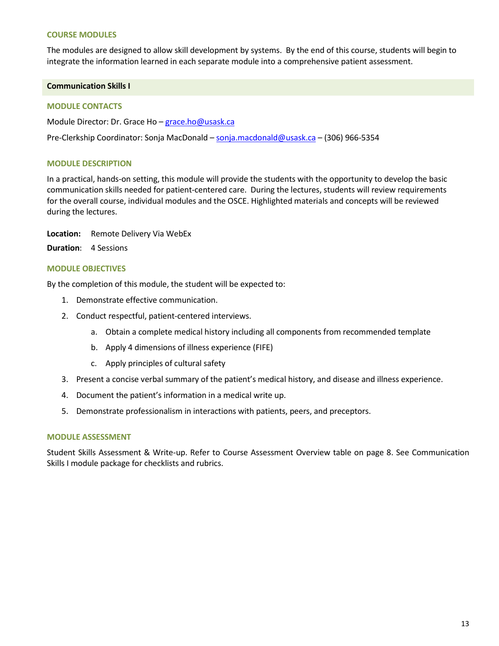#### **COURSE MODULES**

The modules are designed to allow skill development by systems. By the end of this course, students will begin to integrate the information learned in each separate module into a comprehensive patient assessment.

#### **Communication Skills I**

#### **MODULE CONTACTS**

Module Director: Dr. Grace Ho – [grace.ho@usask.ca](mailto:grace.ho@usask.ca) 

Pre-Clerkship Coordinator: Sonja MacDonald [– sonja.macdonald@usask.ca](mailto:sonja.macdonald@usask.ca) – (306) 966-5354

#### **MODULE DESCRIPTION**

In a practical, hands-on setting, this module will provide the students with the opportunity to develop the basic communication skills needed for patient-centered care. During the lectures, students will review requirements for the overall course, individual modules and the OSCE. Highlighted materials and concepts will be reviewed during the lectures.

**Location:** Remote Delivery Via WebEx

**Duration**: 4 Sessions

#### **MODULE OBJECTIVES**

By the completion of this module, the student will be expected to:

- 1. Demonstrate effective communication.
- 2. Conduct respectful, patient-centered interviews.
	- a. Obtain a complete medical history including all components from recommended template
	- b. Apply 4 dimensions of illness experience (FIFE)
	- c. Apply principles of cultural safety
- 3. Present a concise verbal summary of the patient's medical history, and disease and illness experience.
- 4. Document the patient's information in a medical write up.
- 5. Demonstrate professionalism in interactions with patients, peers, and preceptors.

#### **MODULE ASSESSMENT**

Student Skills Assessment & Write-up. Refer to Course Assessment Overview table on page 8. See Communication Skills I module package for checklists and rubrics.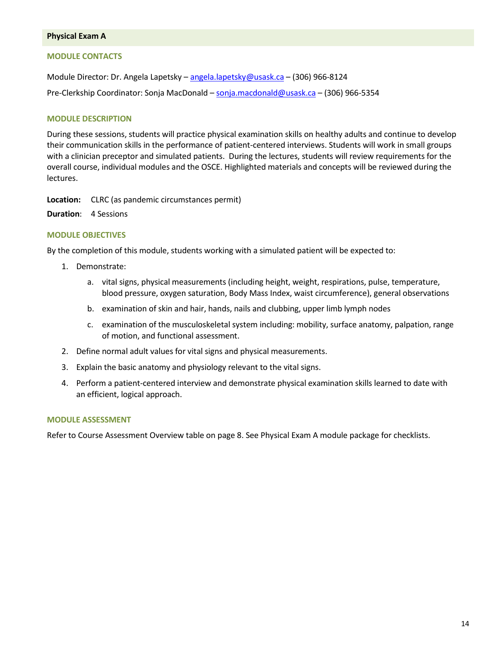#### **Physical Exam A**

## **MODULE CONTACTS**

Module Director: Dr. Angela Lapetsky [– angela.lapetsky@usask.ca](mailto:angela.lapetsky@usask.ca) – (306) 966-8124 Pre-Clerkship Coordinator: Sonja MacDonald [– sonja.macdonald@usask.ca](mailto:sonja.macdonald@usask.ca) – (306) 966-5354

## **MODULE DESCRIPTION**

During these sessions, students will practice physical examination skills on healthy adults and continue to develop their communication skills in the performance of patient-centered interviews. Students will work in small groups with a clinician preceptor and simulated patients. During the lectures, students will review requirements for the overall course, individual modules and the OSCE. Highlighted materials and concepts will be reviewed during the lectures.

**Location:** CLRC (as pandemic circumstances permit)

**Duration**: 4 Sessions

## **MODULE OBJECTIVES**

By the completion of this module, students working with a simulated patient will be expected to:

- 1. Demonstrate:
	- a. vital signs, physical measurements (including height, weight, respirations, pulse, temperature, blood pressure, oxygen saturation, Body Mass Index, waist circumference), general observations
	- b. examination of skin and hair, hands, nails and clubbing, upper limb lymph nodes
	- c. examination of the musculoskeletal system including: mobility, surface anatomy, palpation, range of motion, and functional assessment.
- 2. Define normal adult values for vital signs and physical measurements.
- 3. Explain the basic anatomy and physiology relevant to the vital signs.
- 4. Perform a patient-centered interview and demonstrate physical examination skills learned to date with an efficient, logical approach.

#### **MODULE ASSESSMENT**

Refer to Course Assessment Overview table on page 8. See Physical Exam A module package for checklists.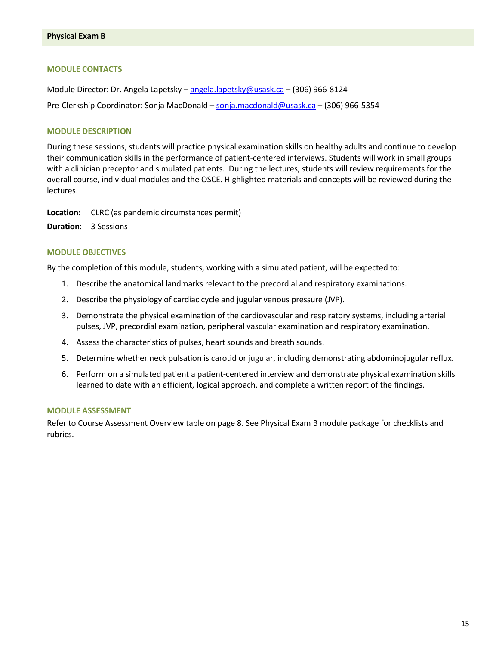## **MODULE CONTACTS**

Module Director: Dr. Angela Lapetsky [– angela.lapetsky@usask.ca](mailto:angela.lapetsky@usask.ca) – (306) 966-8124 Pre-Clerkship Coordinator: Sonja MacDonald [– sonja.macdonald@usask.ca](mailto:sonja.macdonald@usask.ca) – (306) 966-5354

#### **MODULE DESCRIPTION**

During these sessions, students will practice physical examination skills on healthy adults and continue to develop their communication skills in the performance of patient-centered interviews. Students will work in small groups with a clinician preceptor and simulated patients. During the lectures, students will review requirements for the overall course, individual modules and the OSCE. Highlighted materials and concepts will be reviewed during the lectures.

**Location:** CLRC (as pandemic circumstances permit)

**Duration**: 3 Sessions

#### **MODULE OBJECTIVES**

By the completion of this module, students, working with a simulated patient, will be expected to:

- 1. Describe the anatomical landmarks relevant to the precordial and respiratory examinations.
- 2. Describe the physiology of cardiac cycle and jugular venous pressure (JVP).
- 3. Demonstrate the physical examination of the cardiovascular and respiratory systems, including arterial pulses, JVP, precordial examination, peripheral vascular examination and respiratory examination.
- 4. Assess the characteristics of pulses, heart sounds and breath sounds.
- 5. Determine whether neck pulsation is carotid or jugular, including demonstrating abdominojugular reflux.
- 6. Perform on a simulated patient a patient-centered interview and demonstrate physical examination skills learned to date with an efficient, logical approach, and complete a written report of the findings.

#### **MODULE ASSESSMENT**

Refer to Course Assessment Overview table on page 8. See Physical Exam B module package for checklists and rubrics.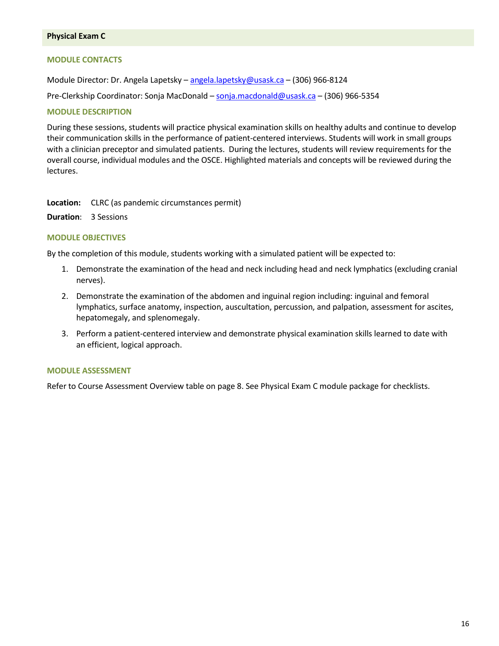#### **Physical Exam C**

#### **MODULE CONTACTS**

Module Director: Dr. Angela Lapetsky [– angela.lapetsky@usask.ca](mailto:angela.lapetsky@usask.ca) – (306) 966-8124

Pre-Clerkship Coordinator: Sonja MacDonald [– sonja.macdonald@usask.ca](mailto:sonja.macdonald@usask.ca) – (306) 966-5354

#### **MODULE DESCRIPTION**

During these sessions, students will practice physical examination skills on healthy adults and continue to develop their communication skills in the performance of patient-centered interviews. Students will work in small groups with a clinician preceptor and simulated patients. During the lectures, students will review requirements for the overall course, individual modules and the OSCE. Highlighted materials and concepts will be reviewed during the lectures.

**Location:** CLRC (as pandemic circumstances permit)

**Duration**: 3 Sessions

## **MODULE OBJECTIVES**

By the completion of this module, students working with a simulated patient will be expected to:

- 1. Demonstrate the examination of the head and neck including head and neck lymphatics (excluding cranial nerves).
- 2. Demonstrate the examination of the abdomen and inguinal region including: inguinal and femoral lymphatics, surface anatomy, inspection, auscultation, percussion, and palpation, assessment for ascites, hepatomegaly, and splenomegaly.
- 3. Perform a patient-centered interview and demonstrate physical examination skills learned to date with an efficient, logical approach.

#### **MODULE ASSESSMENT**

Refer to Course Assessment Overview table on page 8. See Physical Exam C module package for checklists.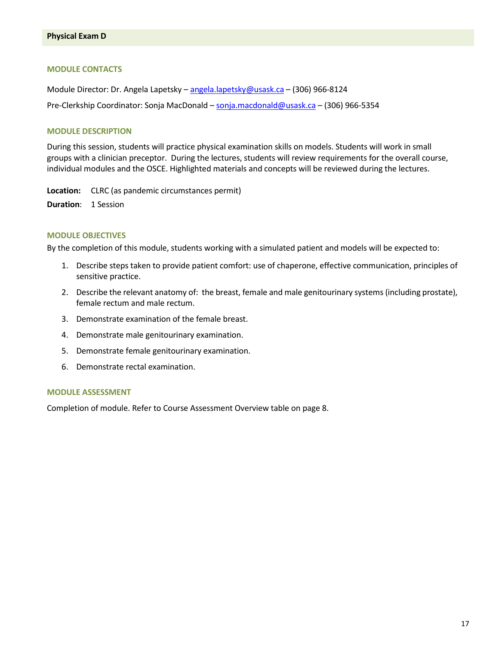#### **MODULE CONTACTS**

Module Director: Dr. Angela Lapetsky [– angela.lapetsky@usask.ca](mailto:angela.lapetsky@usask.ca) – (306) 966-8124 Pre-Clerkship Coordinator: Sonja MacDonald [– sonja.macdonald@usask.ca](mailto:sonja.macdonald@usask.ca) - (306) 966-5354

#### **MODULE DESCRIPTION**

During this session, students will practice physical examination skills on models. Students will work in small groups with a clinician preceptor. During the lectures, students will review requirements for the overall course, individual modules and the OSCE. Highlighted materials and concepts will be reviewed during the lectures.

**Location:** CLRC (as pandemic circumstances permit)

**Duration**: 1 Session

#### **MODULE OBJECTIVES**

By the completion of this module, students working with a simulated patient and models will be expected to:

- 1. Describe steps taken to provide patient comfort: use of chaperone, effective communication, principles of sensitive practice.
- 2. Describe the relevant anatomy of: the breast, female and male genitourinary systems (including prostate), female rectum and male rectum.
- 3. Demonstrate examination of the female breast.
- 4. Demonstrate male genitourinary examination.
- 5. Demonstrate female genitourinary examination.
- 6. Demonstrate rectal examination.

#### **MODULE ASSESSMENT**

Completion of module. Refer to Course Assessment Overview table on page 8.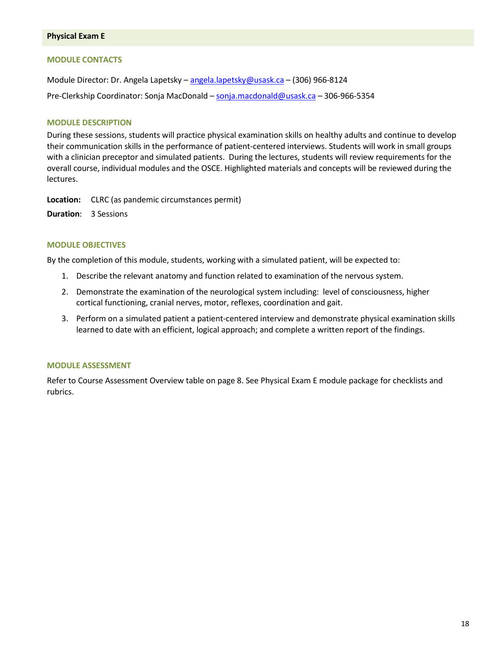#### **Physical Exam E**

#### **MODULE CONTACTS**

Module Director: Dr. Angela Lapetsky [– angela.lapetsky@usask.ca](mailto:angela.lapetsky@usask.ca) – (306) 966-8124 Pre-Clerkship Coordinator: Sonja MacDonald [– sonja.macdonald@usask.ca](mailto:sonja.macdonald@usask.ca) – 306-966-5354

#### **MODULE DESCRIPTION**

During these sessions, students will practice physical examination skills on healthy adults and continue to develop their communication skills in the performance of patient-centered interviews. Students will work in small groups with a clinician preceptor and simulated patients. During the lectures, students will review requirements for the overall course, individual modules and the OSCE. Highlighted materials and concepts will be reviewed during the lectures.

**Location:** CLRC (as pandemic circumstances permit)

**Duration**: 3 Sessions

## **MODULE OBJECTIVES**

By the completion of this module, students, working with a simulated patient, will be expected to:

- 1. Describe the relevant anatomy and function related to examination of the nervous system.
- 2. Demonstrate the examination of the neurological system including: level of consciousness, higher cortical functioning, cranial nerves, motor, reflexes, coordination and gait.
- 3. Perform on a simulated patient a patient-centered interview and demonstrate physical examination skills learned to date with an efficient, logical approach; and complete a written report of the findings.

#### **MODULE ASSESSMENT**

Refer to Course Assessment Overview table on page 8. See Physical Exam E module package for checklists and rubrics.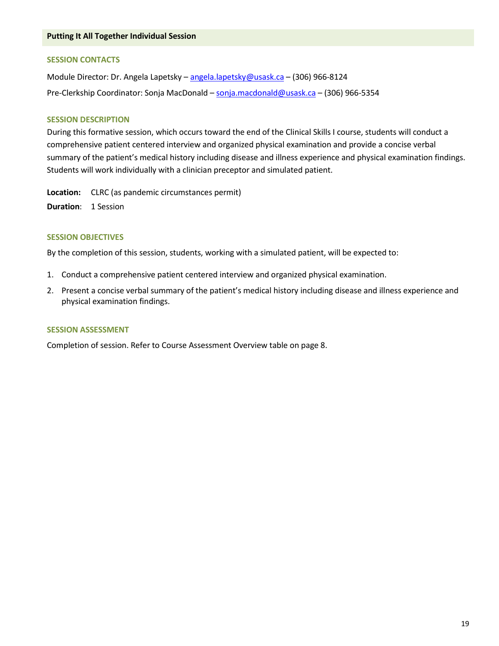#### **SESSION CONTACTS**

Module Director: Dr. Angela Lapetsky [– angela.lapetsky@usask.ca](mailto:angela.lapetsky@usask.ca) – (306) 966-8124 Pre-Clerkship Coordinator: Sonja MacDonald [– sonja.macdonald@usask.ca](mailto:sonja.macdonald@usask.ca) – (306) 966-5354

#### **SESSION DESCRIPTION**

During this formative session, which occurs toward the end of the Clinical Skills I course, students will conduct a comprehensive patient centered interview and organized physical examination and provide a concise verbal summary of the patient's medical history including disease and illness experience and physical examination findings. Students will work individually with a clinician preceptor and simulated patient.

**Location:** CLRC (as pandemic circumstances permit) **Duration**: 1 Session

#### **SESSION OBJECTIVES**

By the completion of this session, students, working with a simulated patient, will be expected to:

- 1. Conduct a comprehensive patient centered interview and organized physical examination.
- 2. Present a concise verbal summary of the patient's medical history including disease and illness experience and physical examination findings.

#### **SESSION ASSESSMENT**

Completion of session. Refer to Course Assessment Overview table on page 8.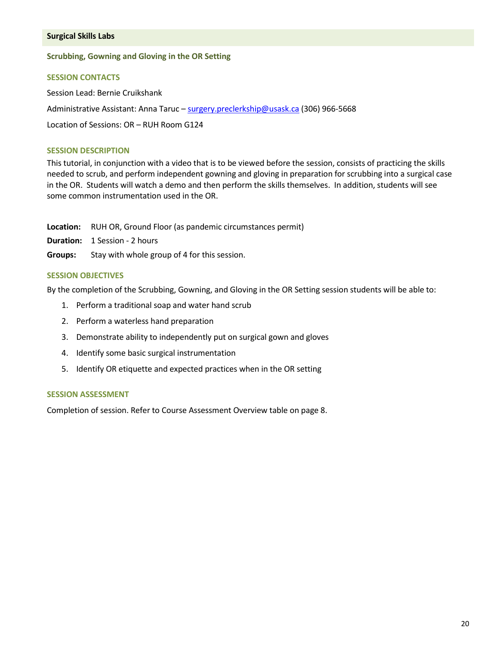#### **Surgical Skills Labs**

#### **Scrubbing, Gowning and Gloving in the OR Setting**

#### **SESSION CONTACTS**

Session Lead: Bernie Cruikshank Administrative Assistant: Anna Taruc – [surgery.preclerkship@usask.ca](mailto:surgery.preclerkship@usask.ca) (306) 966-5668 Location of Sessions: OR – RUH Room G124

#### **SESSION DESCRIPTION**

This tutorial, in conjunction with a video that is to be viewed before the session, consists of practicing the skills needed to scrub, and perform independent gowning and gloving in preparation for scrubbing into a surgical case in the OR. Students will watch a demo and then perform the skills themselves. In addition, students will see some common instrumentation used in the OR.

**Location:** RUH OR, Ground Floor (as pandemic circumstances permit)

**Duration:** 1 Session - 2 hours

**Groups:** Stay with whole group of 4 for this session.

#### **SESSION OBJECTIVES**

By the completion of the Scrubbing, Gowning, and Gloving in the OR Setting session students will be able to:

- 1. Perform a traditional soap and water hand scrub
- 2. Perform a waterless hand preparation
- 3. Demonstrate ability to independently put on surgical gown and gloves
- 4. Identify some basic surgical instrumentation
- 5. Identify OR etiquette and expected practices when in the OR setting

## **SESSION ASSESSMENT**

Completion of session. Refer to Course Assessment Overview table on page 8.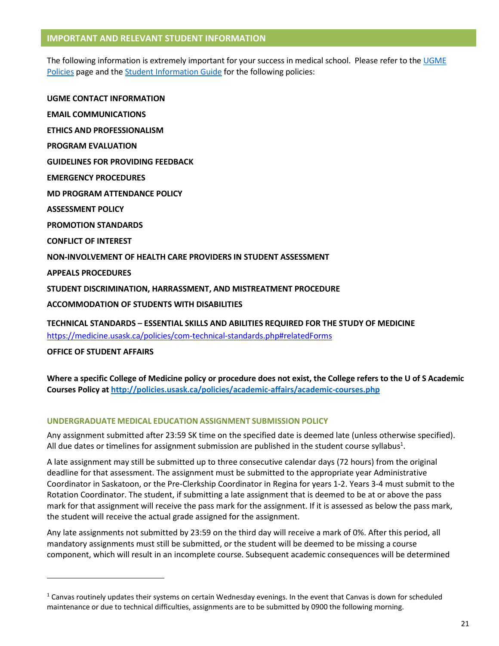## **IMPORTANT AND RELEVANT STUDENT INFORMATION**

The following information is extremely important for your success in medical school. Please refer to th[e UGME](http://medicine.usask.ca/students/undergraduate/policies.php)  [Policies](http://medicine.usask.ca/students/undergraduate/policies.php) page and the **Student Information Guide** for the following policies:

**UGME CONTACT INFORMATION EMAIL COMMUNICATIONS ETHICS AND PROFESSIONALISM PROGRAM EVALUATION GUIDELINES FOR PROVIDING FEEDBACK\ EMERGENCY PROCEDURES MD PROGRAM ATTENDANCE POLICY ASSESSMENT POLICY PROMOTION STANDARDS CONFLICT OF INTEREST NON-INVOLVEMENT OF HEALTH CARE PROVIDERS IN STUDENT ASSESSMENT APPEALS PROCEDURES STUDENT DISCRIMINATION, HARRASSMENT, AND MISTREATMENT PROCEDURE ACCOMMODATION OF STUDENTS WITH DISABILITIES TECHNICAL STANDARDS – ESSENTIAL SKILLS AND ABILITIES REQUIRED FOR THE STUDY OF MEDICINE** 

<https://medicine.usask.ca/policies/com-technical-standards.php#relatedForms>

**OFFICE OF STUDENT AFFAIRS**

l

**Where a specific College of Medicine policy or procedure does not exist, the College refers to the U of S Academic Courses Policy at<http://policies.usask.ca/policies/academic-affairs/academic-courses.php>**

## **UNDERGRADUATE MEDICAL EDUCATION ASSIGNMENT SUBMISSION POLICY**

Any assignment submitted after 23:59 SK time on the specified date is deemed late (unless otherwise specified). All due dates or timelines for assignment submission are published in the student course syllabus<sup>1</sup>.

A late assignment may still be submitted up to three consecutive calendar days (72 hours) from the original deadline for that assessment. The assignment must be submitted to the appropriate year Administrative Coordinator in Saskatoon, or the Pre-Clerkship Coordinator in Regina for years 1-2. Years 3-4 must submit to the Rotation Coordinator. The student, if submitting a late assignment that is deemed to be at or above the pass mark for that assignment will receive the pass mark for the assignment. If it is assessed as below the pass mark, the student will receive the actual grade assigned for the assignment.

Any late assignments not submitted by 23:59 on the third day will receive a mark of 0%. After this period, all mandatory assignments must still be submitted, or the student will be deemed to be missing a course component, which will result in an incomplete course. Subsequent academic consequences will be determined

 $1$  Canvas routinely updates their systems on certain Wednesday evenings. In the event that Canvas is down for scheduled maintenance or due to technical difficulties, assignments are to be submitted by 0900 the following morning.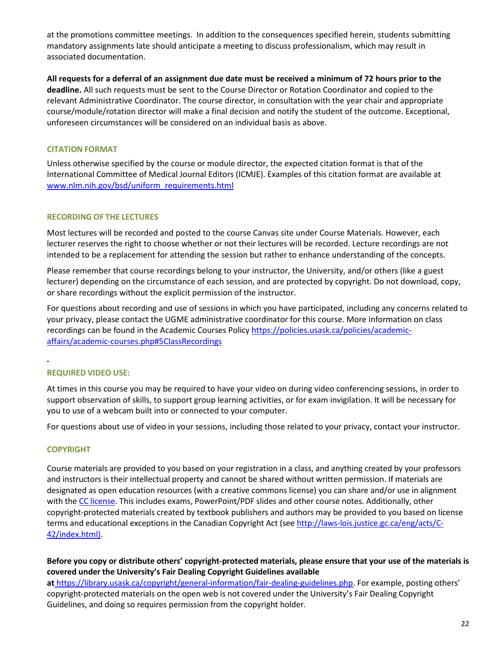at the promotions committee meetings. In addition to the consequences specified herein, students submitting mandatory assignments late should anticipate a meeting to discuss professionalism, which may result in associated documentation.

**All requests for a deferral of an assignment due date must be received a minimum of 72 hours prior to the deadline.** All such requests must be sent to the Course Director or Rotation Coordinator and copied to the relevant Administrative Coordinator. The course director, in consultation with the year chair and appropriate course/module/rotation director will make a final decision and notify the student of the outcome. Exceptional, unforeseen circumstances will be considered on an individual basis as above.

## **CITATION FORMAT**

Unless otherwise specified by the course or module director, the expected citation format is that of the International Committee of Medical Journal Editors (ICMJE). Examples of this citation format are available at [www.nlm.nih.gov/bsd/uniform\\_requirements.html](http://www.nlm.nih.gov/bsd/uniform_requirements.html)

## **RECORDING OF THE LECTURES**

Most lectures will be recorded and posted to the course Canvas site under Course Materials. However, each lecturer reserves the right to choose whether or not their lectures will be recorded. Lecture recordings are not intended to be a replacement for attending the session but rather to enhance understanding of the concepts.

Please remember that course recordings belong to your instructor, the University, and/or others (like a guest lecturer) depending on the circumstance of each session, and are protected by copyright. Do not download, copy, or share recordings without the explicit permission of the instructor.

For questions about recording and use of sessions in which you have participated, including any concerns related to your privacy, please contact the UGME administrative coordinator for this course. More information on class recordings can be found in the Academic Courses Policy [https://policies.usask.ca/policies/academic](https://policies.usask.ca/policies/academic-affairs/academic-courses.php#5ClassRecordings)[affairs/academic-courses.php#5ClassRecordings](https://policies.usask.ca/policies/academic-affairs/academic-courses.php#5ClassRecordings) 

l

# **REQUIRED VIDEO USE:**

At times in this course you may be required to have your video on during video conferencing sessions, in order to support observation of skills, to support group learning activities, or for exam invigilation. It will be necessary for you to use of a webcam built into or connected to your computer.

For questions about use of video in your sessions, including those related to your privacy, contact your instructor.

## **COPYRIGHT**

Course materials are provided to you based on your registration in a class, and anything created by your professors and instructors is their intellectual property and cannot be shared without written permission. If materials are designated as open education resources (with a creative commons license) you can share and/or use in alignment with the [CC license.](https://openpress.usask.ca/authoring/chapter/creative-commons-licenses/) This includes exams, PowerPoint/PDF slides and other course notes. Additionally, other copyright-protected materials created by textbook publishers and authors may be provided to you based on license terms and educational exceptions in the Canadian Copyright Act (see [http://laws-lois.justice.gc.ca/eng/acts/C-](http://laws-lois.justice.gc.ca/eng/acts/C-42/index.html)[42/index.html\).](http://laws-lois.justice.gc.ca/eng/acts/C-42/index.html)

## **Before you copy or distribute others' copyright-protected materials, please ensure that your use of the materials is covered under the University's Fair Dealing Copyright Guidelines available**

**at** [https://library.usask.ca/copyright/general-information/fair-dealing-guidelines.php.](https://library.usask.ca/copyright/general-information/fair-dealing-guidelines.php) For example, posting others' copyright-protected materials on the open web is not covered under the University's Fair Dealing Copyright Guidelines, and doing so requires permission from the copyright holder.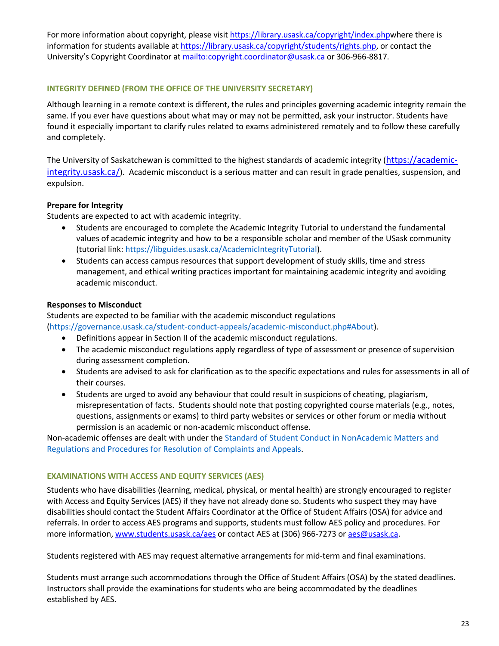For more information about copyright, please visit [https://library.usask.ca/copyright/index.phpw](https://library.usask.ca/copyright/index.php)here there is information for students available a[t https://library.usask.ca/copyright/students/rights.php,](https://library.usask.ca/copyright/students/rights.php) or contact the University's Copyright Coordinator at<mailto:copyright.coordinator@usask.ca>or 306-966-8817.

## **INTEGRITY DEFINED (FROM THE OFFICE OF THE UNIVERSITY SECRETARY)**

Although learning in a remote context is different, the rules and principles governing academic integrity remain the same. If you ever have questions about what may or may not be permitted, ask your instructor. Students have found it especially important to clarify rules related to exams administered remotely and to follow these carefully and completely.

The University of Saskatchewan is committed to the highest standards of academic integrity ([https://academic](https://academic-integrity.usask.ca/)[integrity.usask.ca/](https://academic-integrity.usask.ca/)). Academic misconduct is a serious matter and can result in grade penalties, suspension, and expulsion.

## **Prepare for Integrity**

Students are expected to act with academic integrity.

- Students are encouraged to complete the Academic Integrity Tutorial to understand the fundamental values of academic integrity and how to be a responsible scholar and member of the USask community (tutorial link: [https://libguides.usask.ca/AcademicIntegrityTutorial\)](https://libguides.usask.ca/AcademicIntegrityTutorial).
- Students can access campus resources that support development of study skills, time and stress management, and ethical writing practices important for maintaining academic integrity and avoiding academic misconduct.

## **Responses to Misconduct**

Students are expected to be familiar with the academic misconduct regulations

[\(https://governance.usask.ca/student-conduct-appeals/academic-misconduct.php#About\)](https://governance.usask.ca/student-conduct-appeals/academic-misconduct.php#About).

- Definitions appear in Section II of the academic misconduct regulations.
- The academic misconduct regulations apply regardless of type of assessment or presence of supervision during assessment completion.
- Students are advised to ask for clarification as to the specific expectations and rules for assessments in all of their courses.
- Students are urged to avoid any behaviour that could result in suspicions of cheating, plagiarism, misrepresentation of facts. Students should note that posting copyrighted course materials (e.g., notes, questions, assignments or exams) to third party websites or services or other forum or media without permission is an academic or non-academic misconduct offense.

Non-academic offenses are dealt with under the [Standard of Student Conduct in NonAcademic Matters and](https://governance.usask.ca/student-conduct-appeals/non-academic-misconduct.php)  [Regulations and Procedures for Resolution of Complaints and Appeals.](https://governance.usask.ca/student-conduct-appeals/non-academic-misconduct.php)

## **EXAMINATIONS WITH ACCESS AND EQUITY SERVICES (AES)**

Students who have disabilities (learning, medical, physical, or mental health) are strongly encouraged to register with Access and Equity Services (AES) if they have not already done so. Students who suspect they may have disabilities should contact the Student Affairs Coordinator at the Office of Student Affairs (OSA) for advice and referrals. In order to access AES programs and supports, students must follow AES policy and procedures. For more information[, www.students.usask.ca/aes](http://www.students.usask.ca/aes) or contact AES at (306) 966-7273 or [aes@usask.ca.](mailto:aes@usask.ca)

Students registered with AES may request alternative arrangements for mid-term and final examinations.

Students must arrange such accommodations through the Office of Student Affairs (OSA) by the stated deadlines. Instructors shall provide the examinations for students who are being accommodated by the deadlines established by AES.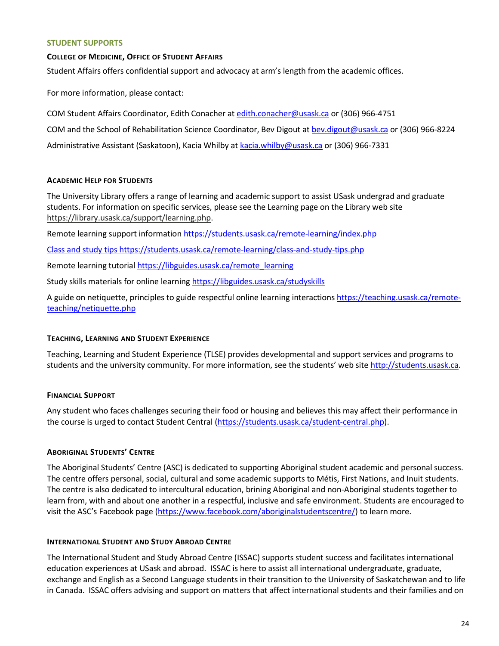#### **STUDENT SUPPORTS**

## **COLLEGE OF MEDICINE, OFFICE OF STUDENT AFFAIRS**

Student Affairs offers confidential support and advocacy at arm's length from the academic offices.

For more information, please contact:

COM Student Affairs Coordinator, Edith Conacher a[t edith.conacher@usask.ca](mailto:edith.conacher@usask.ca) or (306) 966-4751

COM and the School of Rehabilitation Science Coordinator, Bev Digout a[t bev.digout@usask.ca o](mailto:bev.digout@usask.ca)r (306) 966-8224

Administrative Assistant (Saskatoon), Kacia Whilby a[t kacia.whilby@usask.ca](mailto:kacia.whilby@usask.ca) or (306) 966-7331

# **ACADEMIC HELP FOR STUDENTS**

The University Library offers a range of learning and academic support to assist USask undergrad and graduate students. For information on specific services, please see the Learning page on the Library web site [https://library.usask.ca/support/learning.php.](https://library.usask.ca/support/learning.php)

Remote learning support informatio[n https://students.usask.ca/remote-learning/index.php](https://students.usask.ca/remote-learning/index.php)

Class and study tip[s https://students.usask.ca/remote-learning/class-and-study-tips.php](https://students.usask.ca/remote-learning/class-and-study-tips.php)

Remote learning tutoria[l https://libguides.usask.ca/remote\\_learning](https://libguides.usask.ca/remote_learning)

Study skills materials for online learning https://libguides.usask.ca/studyskills

A guide on netiquette, principles to guide respectful online learning interaction[s https://teaching.usask.ca/remote](https://teaching.usask.ca/remote-teaching/netiquette.php)[teaching/netiquette.php](https://teaching.usask.ca/remote-teaching/netiquette.php)

# **TEACHING, LEARNING AND STUDENT EXPERIENCE**

Teaching, Learning and Student Experience (TLSE) provides developmental and support services and programs to students and the university community. For more information, see the students' web site [http://students.usask.ca.](http://students.usask.ca/)

# **FINANCIAL SUPPORT**

Any student who faces challenges securing their food or housing and believes this may affect their performance in the course is urged to contact Student Central [\(https://students.usask.ca/student-central.php\)](https://students.usask.ca/student-central.php).

# **ABORIGINAL STUDENTS' CENTRE**

The Aboriginal Students' Centre (ASC) is dedicated to supporting Aboriginal student academic and personal success. The centre offers personal, social, cultural and some academic supports to Métis, First Nations, and Inuit students. The centre is also dedicated to intercultural education, brining Aboriginal and non-Aboriginal students together to learn from, with and about one another in a respectful, inclusive and safe environment. Students are encouraged to visit the ASC's Facebook page [\(https://www.facebook.com/aboriginalstudentscentre/\)](https://www.facebook.com/aboriginalstudentscentre/) to learn more.

# **INTERNATIONAL STUDENT AND STUDY ABROAD CENTRE**

The International Student and Study Abroad Centre (ISSAC) supports student success and facilitates international education experiences at USask and abroad. ISSAC is here to assist all international undergraduate, graduate, exchange and English as a Second Language students in their transition to the University of Saskatchewan and to life in Canada. ISSAC offers advising and support on matters that affect international students and their families and on